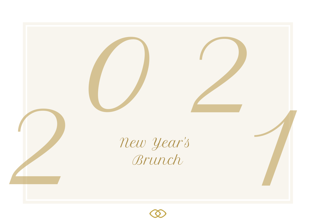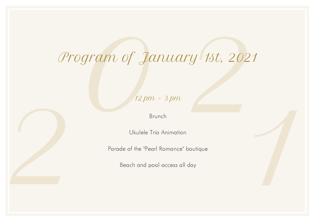# $\begin{array}{c}\n\text{ram of January 13t, 2021}\n\hline\n\text{2pm - 3pm}\n\end{array}$ Program of January 1st, 2021

12 pm - 3 pm

Brunch

Ukulele Trio Animation

Parade of the "Pearl Romance" boutique

Beach and pool access all day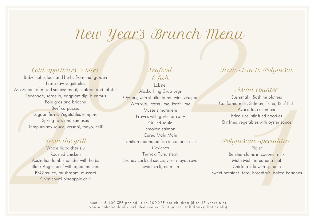# New Year's Brunch Menu

### Cold appetizers & bites

Foie gras and<br>Beef carp<br>Beef carp<br>Spring rolls and<br>Tempura soy sauce, w<br>From the Whole duck<br>Roasted ch<br>Australian lamb shou<br>Black Angus beef with<br>BBQ sauce, mushr<br>Chimichurri pine Baby leaf salads and herbs from the garden Fresh raw vegetables Assortment of mixed salads: meat, seafood and lobster Tapenade, sardella, eggplant dip, hummus Foie gras and brioche Beef carpaccio Lagoon fish & Vegetables tempura Spring rolls and samosas Tempura soy sauce, wasabi, mayo, chili

#### From the grill

Whole duck char siu Roasted chicken Australian lamb shoulder with herbs Black Angus beef with aged mustard BBQ sauce, mushroom, mustard Chimichurri pineapple chili

Seafood & fish

U Year's Brunch Menu<br>
tes<br>
seafood<br>
Seafood<br>
Seafood<br>
Seafood<br>
Seafood<br>
Seafood<br>
Seafood<br>
Seafood<br>
Seafood<br>
Seafood<br>
Seafood<br>
Seafood<br>
Seafood<br>
Seafood<br>
Seafood<br>
Seafood<br>
Seafood<br>
Seafood<br>
Seafood<br>
Seafood<br>
Seafood<br>
Seafoo Lobster Alaska King Crab Legs Oysters, with shallot in red wine vinegar With yuzu, fresh lime, kaffir lime Mussels marinière Prawns with garlic or curry Grilled squid Smoked salmon Cured Mahi Mahi Tahitian marinated fish in coconut milk Ceviches Teriyaki Tuna steak Brandy cocktail sauce, yuzu mayo, soya Sweet chili, nam jim

## From Asia to Polynesia

#### Asian counter

Sushimaki, Sashimi platters California rolls, Salmon, Tuna, Reef Fish Avocado, cucumber Fried rice, stir fried noodles Stir fried vegetables with oyster sauce

#### Polynesian Specialities

Ils, Salmon, Tuna, Reef Fish<br>ocado, cucumber<br>rice, stir fried noodles<br>getables with oyster sauce<br>Sian Specialities<br>Piglet<br>clams in coconut milk<br>Mahi in banana leaf<br>xen fafa with spinach<br>taro, breadfruit, baked bananas **Piglet** Benitier clams in coconut milk Mahi Mahi in banana leaf Chicken fafa with spinach Sweet potatoes, taro, breadfruit, baked bananas

Menu:  $8.400$  XPF per adult  $/4.200$  XPF per children (5 to 15 years old) Non-alcoholic drinks included (water, fruit juices, soft drinks, hot drinks)